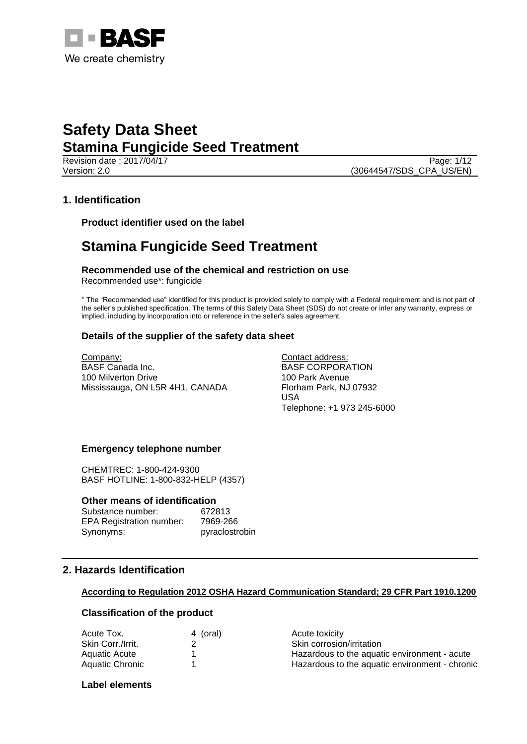

Revision date : 2017/04/17 Page: 1/12 Version: 2.0 (30644547/SDS\_CPA\_US/EN)

## **1. Identification**

**Product identifier used on the label**

## **Stamina Fungicide Seed Treatment**

**Recommended use of the chemical and restriction on use** Recommended use\*: fungicide

\* The "Recommended use" identified for this product is provided solely to comply with a Federal requirement and is not part of the seller's published specification. The terms of this Safety Data Sheet (SDS) do not create or infer any warranty, express or implied, including by incorporation into or reference in the seller's sales agreement.

## **Details of the supplier of the safety data sheet**

Company: BASF Canada Inc. 100 Milverton Drive Mississauga, ON L5R 4H1, CANADA Contact address: BASF CORPORATION 100 Park Avenue Florham Park, NJ 07932 USA Telephone: +1 973 245-6000

## **Emergency telephone number**

CHEMTREC: 1-800-424-9300 BASF HOTLINE: 1-800-832-HELP (4357)

## **Other means of identification**

| Substance number:               | 672813         |
|---------------------------------|----------------|
| <b>EPA Registration number:</b> | 7969-266       |
| Synonyms:                       | pyraclostrobin |

## **2. Hazards Identification**

## **According to Regulation 2012 OSHA Hazard Communication Standard; 29 CFR Part 1910.1200**

## **Classification of the product**

| 4 (oral) | Acute toxicity                                 |
|----------|------------------------------------------------|
|          | Skin corrosion/irritation                      |
|          | Hazardous to the aquatic environment - acute   |
|          | Hazardous to the aquatic environment - chronic |
|          |                                                |

## **Label elements**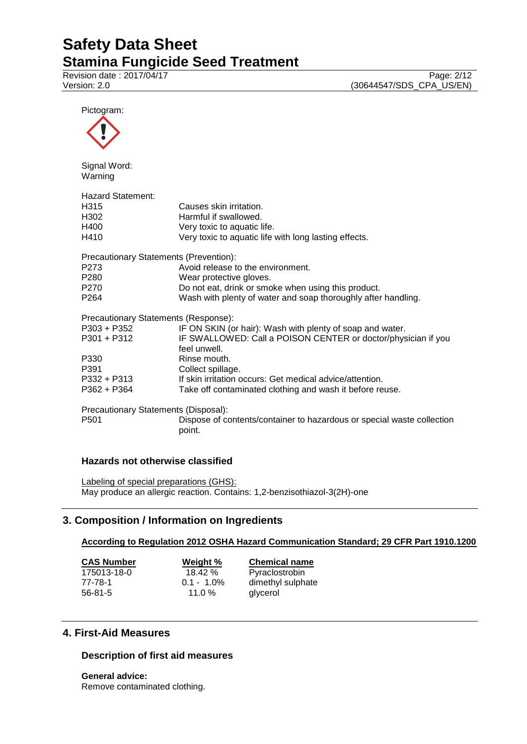Revision date : 2017/04/17 Page: 2/12<br>Version: 2.0 (30644547/SDS\_CPA\_US/EN) (30644547/SDS\_CPA\_US/EN)

Pictogram:



Signal Word: Warning

| Hazard Statement:                      |                                                                                  |
|----------------------------------------|----------------------------------------------------------------------------------|
| H <sub>315</sub>                       | Causes skin irritation.                                                          |
| H <sub>302</sub>                       | Harmful if swallowed.                                                            |
| H400                                   | Very toxic to aquatic life.                                                      |
| H410                                   | Very toxic to aquatic life with long lasting effects.                            |
| Precautionary Statements (Prevention): |                                                                                  |
| P <sub>273</sub>                       | Avoid release to the environment.                                                |
| P <sub>280</sub>                       | Wear protective gloves.                                                          |
| P <sub>270</sub>                       | Do not eat, drink or smoke when using this product.                              |
| P <sub>264</sub>                       | Wash with plenty of water and soap thoroughly after handling.                    |
| Precautionary Statements (Response):   |                                                                                  |
| P303 + P352                            | IF ON SKIN (or hair): Wash with plenty of soap and water.                        |
| P301 + P312                            | IF SWALLOWED: Call a POISON CENTER or doctor/physician if you                    |
|                                        | feel unwell.                                                                     |
| P330                                   | Rinse mouth.                                                                     |
| P391                                   | Collect spillage.                                                                |
| P332 + P313                            | If skin irritation occurs: Get medical advice/attention.                         |
| $P362 + P364$                          | Take off contaminated clothing and wash it before reuse.                         |
| Precautionary Statements (Disposal):   |                                                                                  |
| P <sub>501</sub>                       | Dispose of contents/container to hazardous or special waste collection<br>point. |

## **Hazards not otherwise classified**

Labeling of special preparations (GHS): May produce an allergic reaction. Contains: 1,2-benzisothiazol-3(2H)-one

## **3. Composition / Information on Ingredients**

## **According to Regulation 2012 OSHA Hazard Communication Standard; 29 CFR Part 1910.1200**

| <b>CAS Number</b> | Weight %      | <b>Chemical name</b> |
|-------------------|---------------|----------------------|
| 175013-18-0       | 18.42%        | Pyraclostrobin       |
| 77-78-1           | $0.1 - 1.0\%$ | dimethyl sulphate    |
| $56 - 81 - 5$     | 11.0 $%$      | glycerol             |

## **4. First-Aid Measures**

## **Description of first aid measures**

**General advice:** Remove contaminated clothing.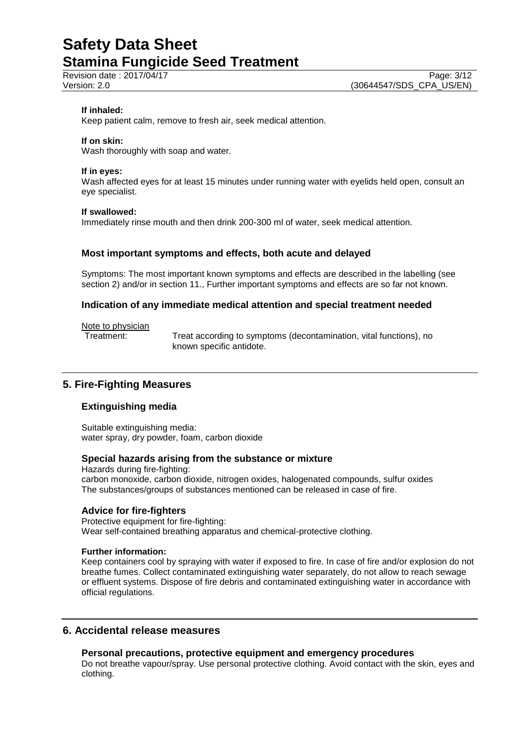## **If inhaled:**

Keep patient calm, remove to fresh air, seek medical attention.

#### **If on skin:**

Wash thoroughly with soap and water.

#### **If in eyes:**

Wash affected eyes for at least 15 minutes under running water with eyelids held open, consult an eye specialist.

#### **If swallowed:**

Immediately rinse mouth and then drink 200-300 ml of water, seek medical attention.

## **Most important symptoms and effects, both acute and delayed**

Symptoms: The most important known symptoms and effects are described in the labelling (see section 2) and/or in section 11., Further important symptoms and effects are so far not known.

#### **Indication of any immediate medical attention and special treatment needed**

#### Note to physician

Treatment: Treat according to symptoms (decontamination, vital functions), no known specific antidote.

## **5. Fire-Fighting Measures**

## **Extinguishing media**

Suitable extinguishing media: water spray, dry powder, foam, carbon dioxide

## **Special hazards arising from the substance or mixture**

Hazards during fire-fighting: carbon monoxide, carbon dioxide, nitrogen oxides, halogenated compounds, sulfur oxides The substances/groups of substances mentioned can be released in case of fire.

#### **Advice for fire-fighters**

Protective equipment for fire-fighting: Wear self-contained breathing apparatus and chemical-protective clothing.

#### **Further information:**

Keep containers cool by spraying with water if exposed to fire. In case of fire and/or explosion do not breathe fumes. Collect contaminated extinguishing water separately, do not allow to reach sewage or effluent systems. Dispose of fire debris and contaminated extinguishing water in accordance with official regulations.

## **6. Accidental release measures**

## **Personal precautions, protective equipment and emergency procedures**

Do not breathe vapour/spray. Use personal protective clothing. Avoid contact with the skin, eyes and clothing.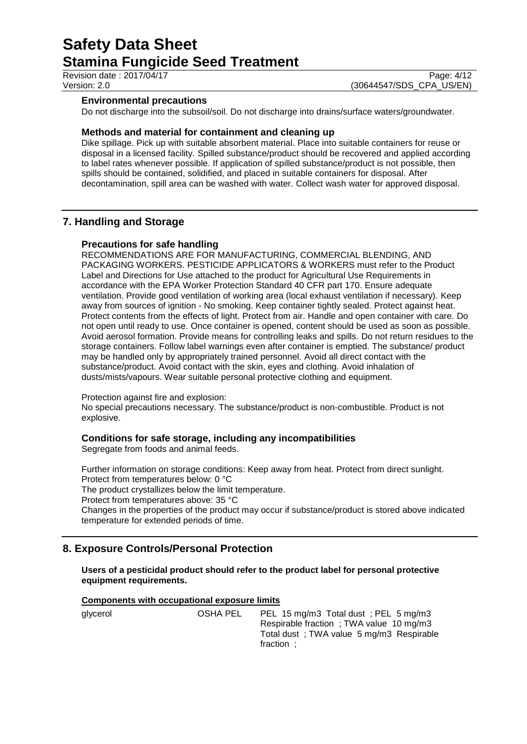Revision date : 2017/04/17 Page: 4/12

Version: 2.0 (30644547/SDS\_CPA\_US/EN)

## **Environmental precautions**

Do not discharge into the subsoil/soil. Do not discharge into drains/surface waters/groundwater.

## **Methods and material for containment and cleaning up**

Dike spillage. Pick up with suitable absorbent material. Place into suitable containers for reuse or disposal in a licensed facility. Spilled substance/product should be recovered and applied according to label rates whenever possible. If application of spilled substance/product is not possible, then spills should be contained, solidified, and placed in suitable containers for disposal. After decontamination, spill area can be washed with water. Collect wash water for approved disposal.

## **7. Handling and Storage**

## **Precautions for safe handling**

RECOMMENDATIONS ARE FOR MANUFACTURING, COMMERCIAL BLENDING, AND PACKAGING WORKERS. PESTICIDE APPLICATORS & WORKERS must refer to the Product Label and Directions for Use attached to the product for Agricultural Use Requirements in accordance with the EPA Worker Protection Standard 40 CFR part 170. Ensure adequate ventilation. Provide good ventilation of working area (local exhaust ventilation if necessary). Keep away from sources of ignition - No smoking. Keep container tightly sealed. Protect against heat. Protect contents from the effects of light. Protect from air. Handle and open container with care. Do not open until ready to use. Once container is opened, content should be used as soon as possible. Avoid aerosol formation. Provide means for controlling leaks and spills. Do not return residues to the storage containers. Follow label warnings even after container is emptied. The substance/ product may be handled only by appropriately trained personnel. Avoid all direct contact with the substance/product. Avoid contact with the skin, eyes and clothing. Avoid inhalation of dusts/mists/vapours. Wear suitable personal protective clothing and equipment.

Protection against fire and explosion:

No special precautions necessary. The substance/product is non-combustible. Product is not explosive.

## **Conditions for safe storage, including any incompatibilities**

Segregate from foods and animal feeds.

Further information on storage conditions: Keep away from heat. Protect from direct sunlight. Protect from temperatures below: 0 °C

The product crystallizes below the limit temperature.

Protect from temperatures above: 35 °C

Changes in the properties of the product may occur if substance/product is stored above indicated temperature for extended periods of time.

## **8. Exposure Controls/Personal Protection**

**Users of a pesticidal product should refer to the product label for personal protective equipment requirements.**

## **Components with occupational exposure limits**

glycerol **COSHA PEL** PEL 15 mg/m3 Total dust ; PEL 5 mg/m3 Respirable fraction ; TWA value 10 mg/m3 Total dust ; TWA value 5 mg/m3 Respirable fraction ;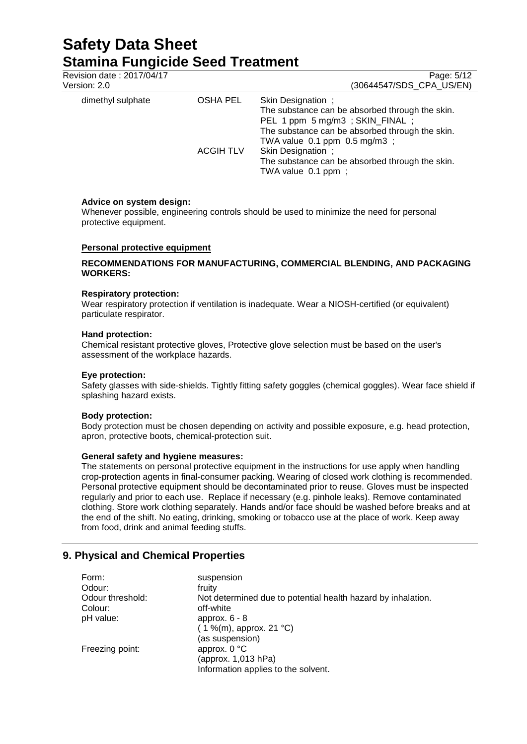| Revision date: 2017/04/17<br>Version: 2.0 |                  | Page: 5/12<br>(30644547/SDS_CPA_US/EN)                                                                                                                                                         |
|-------------------------------------------|------------------|------------------------------------------------------------------------------------------------------------------------------------------------------------------------------------------------|
| dimethyl sulphate                         | OSHA PEL         | Skin Designation;<br>The substance can be absorbed through the skin.<br>PEL 1 ppm 5 mg/m3; SKIN_FINAL;<br>The substance can be absorbed through the skin.<br>TWA value $0.1$ ppm $0.5$ mg/m3 ; |
|                                           | <b>ACGIH TLV</b> | Skin Designation;<br>The substance can be absorbed through the skin.<br>TWA value 0.1 ppm;                                                                                                     |

## **Advice on system design:**

Whenever possible, engineering controls should be used to minimize the need for personal protective equipment.

## **Personal protective equipment**

## **RECOMMENDATIONS FOR MANUFACTURING, COMMERCIAL BLENDING, AND PACKAGING WORKERS:**

## **Respiratory protection:**

Wear respiratory protection if ventilation is inadequate. Wear a NIOSH-certified (or equivalent) particulate respirator.

#### **Hand protection:**

Chemical resistant protective gloves, Protective glove selection must be based on the user's assessment of the workplace hazards.

## **Eye protection:**

Safety glasses with side-shields. Tightly fitting safety goggles (chemical goggles). Wear face shield if splashing hazard exists.

## **Body protection:**

Body protection must be chosen depending on activity and possible exposure, e.g. head protection, apron, protective boots, chemical-protection suit.

## **General safety and hygiene measures:**

The statements on personal protective equipment in the instructions for use apply when handling crop-protection agents in final-consumer packing. Wearing of closed work clothing is recommended. Personal protective equipment should be decontaminated prior to reuse. Gloves must be inspected regularly and prior to each use. Replace if necessary (e.g. pinhole leaks). Remove contaminated clothing. Store work clothing separately. Hands and/or face should be washed before breaks and at the end of the shift. No eating, drinking, smoking or tobacco use at the place of work. Keep away from food, drink and animal feeding stuffs.

## **9. Physical and Chemical Properties**

| Form:            | suspension                                                   |
|------------------|--------------------------------------------------------------|
| Odour:           | fruity                                                       |
| Odour threshold: | Not determined due to potential health hazard by inhalation. |
| Colour:          | off-white                                                    |
| pH value:        | approx. $6 - 8$                                              |
|                  | $(1\%$ (m), approx. 21 °C)                                   |
|                  | (as suspension)                                              |
| Freezing point:  | approx. $0 °C$                                               |
|                  | (approx. 1,013 hPa)                                          |
|                  | Information applies to the solvent.                          |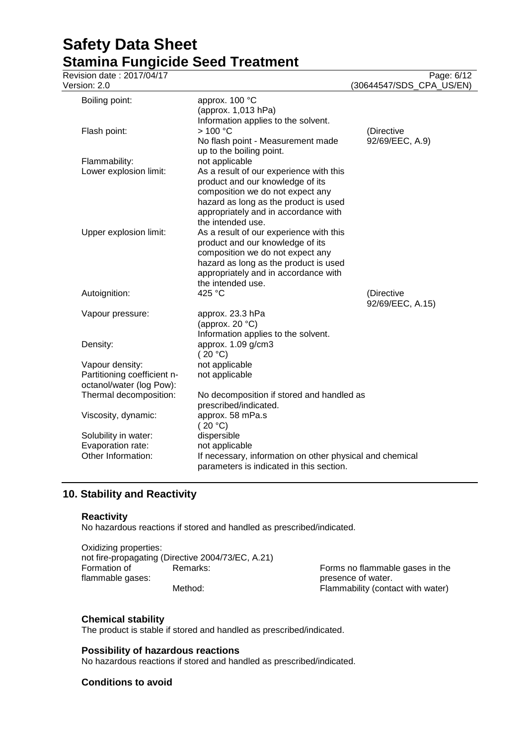| ------<br>Revision date: 2017/04/17<br>Version: 2.0                        |                                                                                                                                                                                                                       | Page: 6/12<br>(30644547/SDS_CPA_US/EN) |
|----------------------------------------------------------------------------|-----------------------------------------------------------------------------------------------------------------------------------------------------------------------------------------------------------------------|----------------------------------------|
| Boiling point:                                                             | approx. 100 °C                                                                                                                                                                                                        |                                        |
| Flash point:                                                               | (approx. 1,013 hPa)<br>Information applies to the solvent.<br>>100 °C<br>No flash point - Measurement made<br>up to the boiling point.                                                                                | (Directive<br>92/69/EEC, A.9)          |
| Flammability:                                                              | not applicable                                                                                                                                                                                                        |                                        |
| Lower explosion limit:                                                     | As a result of our experience with this<br>product and our knowledge of its<br>composition we do not expect any<br>hazard as long as the product is used<br>appropriately and in accordance with<br>the intended use. |                                        |
| Upper explosion limit:                                                     | As a result of our experience with this<br>product and our knowledge of its<br>composition we do not expect any<br>hazard as long as the product is used<br>appropriately and in accordance with<br>the intended use. |                                        |
| Autoignition:                                                              | 425 °C                                                                                                                                                                                                                | (Directive<br>92/69/EEC, A.15)         |
| Vapour pressure:                                                           | approx. 23.3 hPa<br>(approx. 20 $°C$ )<br>Information applies to the solvent.                                                                                                                                         |                                        |
| Density:                                                                   | approx. 1.09 g/cm3<br>(20 °C)                                                                                                                                                                                         |                                        |
| Vapour density:<br>Partitioning coefficient n-<br>octanol/water (log Pow): | not applicable<br>not applicable                                                                                                                                                                                      |                                        |
| Thermal decomposition:                                                     | No decomposition if stored and handled as<br>prescribed/indicated.                                                                                                                                                    |                                        |
| Viscosity, dynamic:                                                        | approx. 58 mPa.s<br>(20 °C)                                                                                                                                                                                           |                                        |
| Solubility in water:                                                       | dispersible                                                                                                                                                                                                           |                                        |
| Evaporation rate:<br>Other Information:                                    | not applicable<br>If necessary, information on other physical and chemical<br>parameters is indicated in this section.                                                                                                |                                        |

## **10. Stability and Reactivity**

## **Reactivity**

No hazardous reactions if stored and handled as prescribed/indicated.

Oxidizing properties: not fire-propagating (Directive 2004/73/EC, A.21) Formation of flammable gases:

Remarks: Forms no flammable gases in the presence of water. Method: Method: Flammability (contact with water)

## **Chemical stability**

The product is stable if stored and handled as prescribed/indicated.

## **Possibility of hazardous reactions**

No hazardous reactions if stored and handled as prescribed/indicated.

## **Conditions to avoid**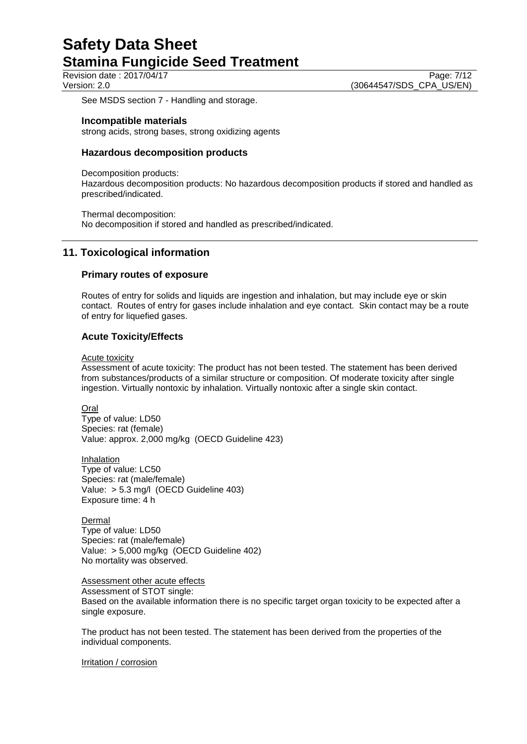Revision date : 2017/04/17 Version: 2.0 (30644547/SDS\_CPA\_US/EN)

See MSDS section 7 - Handling and storage.

## **Incompatible materials**

strong acids, strong bases, strong oxidizing agents

## **Hazardous decomposition products**

Decomposition products:

Hazardous decomposition products: No hazardous decomposition products if stored and handled as prescribed/indicated.

Thermal decomposition: No decomposition if stored and handled as prescribed/indicated.

## **11. Toxicological information**

## **Primary routes of exposure**

Routes of entry for solids and liquids are ingestion and inhalation, but may include eye or skin contact. Routes of entry for gases include inhalation and eye contact. Skin contact may be a route of entry for liquefied gases.

## **Acute Toxicity/Effects**

#### Acute toxicity

Assessment of acute toxicity: The product has not been tested. The statement has been derived from substances/products of a similar structure or composition. Of moderate toxicity after single ingestion. Virtually nontoxic by inhalation. Virtually nontoxic after a single skin contact.

**Oral** 

Type of value: LD50 Species: rat (female) Value: approx. 2,000 mg/kg (OECD Guideline 423)

Inhalation Type of value: LC50 Species: rat (male/female) Value: > 5.3 mg/l (OECD Guideline 403) Exposure time: 4 h

Dermal Type of value: LD50 Species: rat (male/female) Value: > 5,000 mg/kg (OECD Guideline 402) No mortality was observed.

Assessment other acute effects

Assessment of STOT single:

Based on the available information there is no specific target organ toxicity to be expected after a single exposure.

The product has not been tested. The statement has been derived from the properties of the individual components.

Irritation / corrosion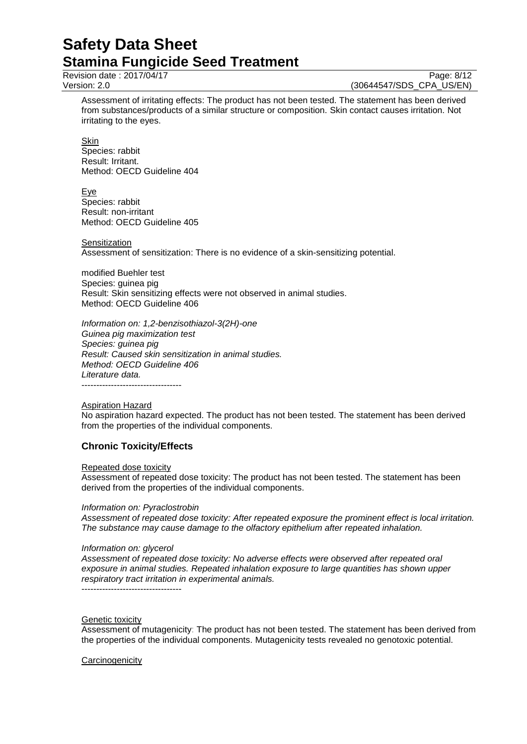Revision date : 2017/04/17 Page: 8/12<br>Version: 2.0 (30644547/SDS\_CPA\_US/EN) (30644547/SDS\_CPA\_US/EN)

Assessment of irritating effects: The product has not been tested. The statement has been derived from substances/products of a similar structure or composition. Skin contact causes irritation. Not irritating to the eyes.

Skin Species: rabbit Result: Irritant. Method: OECD Guideline 404

**Eye** Species: rabbit Result: non-irritant Method: OECD Guideline 405

**Sensitization** Assessment of sensitization: There is no evidence of a skin-sensitizing potential.

modified Buehler test Species: guinea pig Result: Skin sensitizing effects were not observed in animal studies. Method: OECD Guideline 406

*Information on: 1,2-benzisothiazol-3(2H)-one Guinea pig maximization test Species: guinea pig Result: Caused skin sensitization in animal studies. Method: OECD Guideline 406 Literature data.* ----------------------------------

Aspiration Hazard

No aspiration hazard expected. The product has not been tested. The statement has been derived from the properties of the individual components.

## **Chronic Toxicity/Effects**

## Repeated dose toxicity

Assessment of repeated dose toxicity: The product has not been tested. The statement has been derived from the properties of the individual components.

## *Information on: Pyraclostrobin*

*Assessment of repeated dose toxicity: After repeated exposure the prominent effect is local irritation. The substance may cause damage to the olfactory epithelium after repeated inhalation.*

## *Information on: glycerol*

*Assessment of repeated dose toxicity: No adverse effects were observed after repeated oral exposure in animal studies. Repeated inhalation exposure to large quantities has shown upper respiratory tract irritation in experimental animals.*

----------------------------------

## Genetic toxicity

Assessment of mutagenicity: The product has not been tested. The statement has been derived from the properties of the individual components. Mutagenicity tests revealed no genotoxic potential.

## **Carcinogenicity**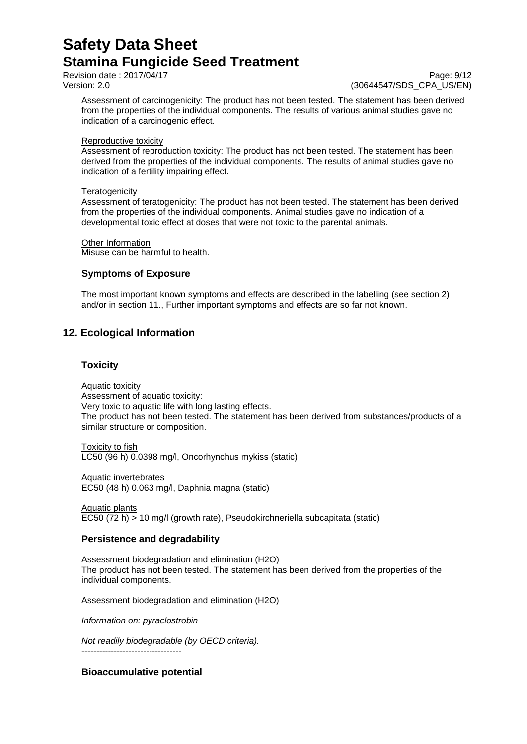Revision date : 2017/04/17 Page: 9/12

Version: 2.0 (30644547/SDS\_CPA\_US/EN)

Assessment of carcinogenicity: The product has not been tested. The statement has been derived from the properties of the individual components. The results of various animal studies gave no indication of a carcinogenic effect.

## Reproductive toxicity

Assessment of reproduction toxicity: The product has not been tested. The statement has been derived from the properties of the individual components. The results of animal studies gave no indication of a fertility impairing effect.

## **Teratogenicity**

Assessment of teratogenicity: The product has not been tested. The statement has been derived from the properties of the individual components. Animal studies gave no indication of a developmental toxic effect at doses that were not toxic to the parental animals.

Other Information

Misuse can be harmful to health.

## **Symptoms of Exposure**

The most important known symptoms and effects are described in the labelling (see section 2) and/or in section 11., Further important symptoms and effects are so far not known.

## **12. Ecological Information**

## **Toxicity**

Aquatic toxicity Assessment of aquatic toxicity: Very toxic to aquatic life with long lasting effects. The product has not been tested. The statement has been derived from substances/products of a similar structure or composition.

Toxicity to fish LC50 (96 h) 0.0398 mg/l, Oncorhynchus mykiss (static)

Aquatic invertebrates EC50 (48 h) 0.063 mg/l, Daphnia magna (static)

Aquatic plants EC50 (72 h) > 10 mg/l (growth rate), Pseudokirchneriella subcapitata (static)

## **Persistence and degradability**

Assessment biodegradation and elimination (H2O) The product has not been tested. The statement has been derived from the properties of the individual components.

Assessment biodegradation and elimination (H2O)

*Information on: pyraclostrobin*

*Not readily biodegradable (by OECD criteria).* ----------------------------------

**Bioaccumulative potential**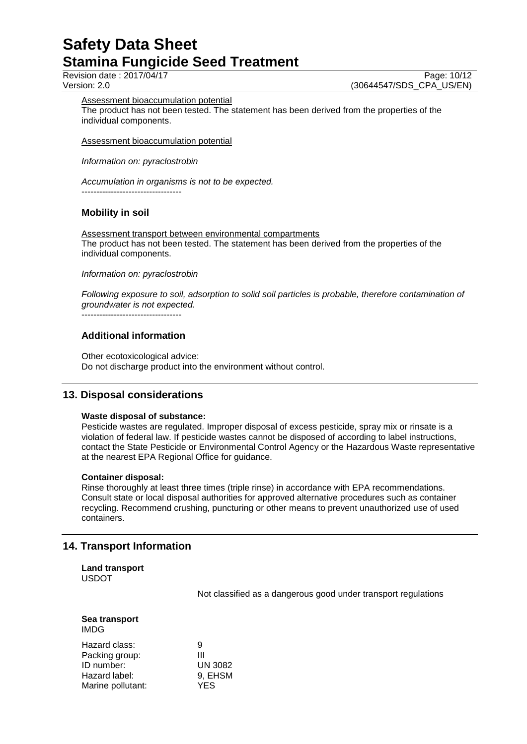Revision date : 2017/04/17 Page: 10/12<br>Version: 2.0 (30644547/SDS\_CPA\_US/EN) (30644547/SDS\_CPA\_US/EN)

Assessment bioaccumulation potential

The product has not been tested. The statement has been derived from the properties of the individual components.

Assessment bioaccumulation potential

*Information on: pyraclostrobin*

*Accumulation in organisms is not to be expected.* ----------------------------------

## **Mobility in soil**

Assessment transport between environmental compartments The product has not been tested. The statement has been derived from the properties of the individual components.

*Information on: pyraclostrobin*

*Following exposure to soil, adsorption to solid soil particles is probable, therefore contamination of groundwater is not expected.*

----------------------------------

## **Additional information**

Other ecotoxicological advice: Do not discharge product into the environment without control.

## **13. Disposal considerations**

## **Waste disposal of substance:**

Pesticide wastes are regulated. Improper disposal of excess pesticide, spray mix or rinsate is a violation of federal law. If pesticide wastes cannot be disposed of according to label instructions, contact the State Pesticide or Environmental Control Agency or the Hazardous Waste representative at the nearest EPA Regional Office for guidance.

## **Container disposal:**

Rinse thoroughly at least three times (triple rinse) in accordance with EPA recommendations. Consult state or local disposal authorities for approved alternative procedures such as container recycling. Recommend crushing, puncturing or other means to prevent unauthorized use of used containers.

## **14. Transport Information**

**Land transport** USDOT

Not classified as a dangerous good under transport regulations

|      | Sea transport |
|------|---------------|
| IMDG |               |

| Hazard class:     | 9       |
|-------------------|---------|
| Packing group:    | Ш       |
| ID number:        | UN 3082 |
| Hazard label:     | 9, EHSM |
| Marine pollutant: | YES     |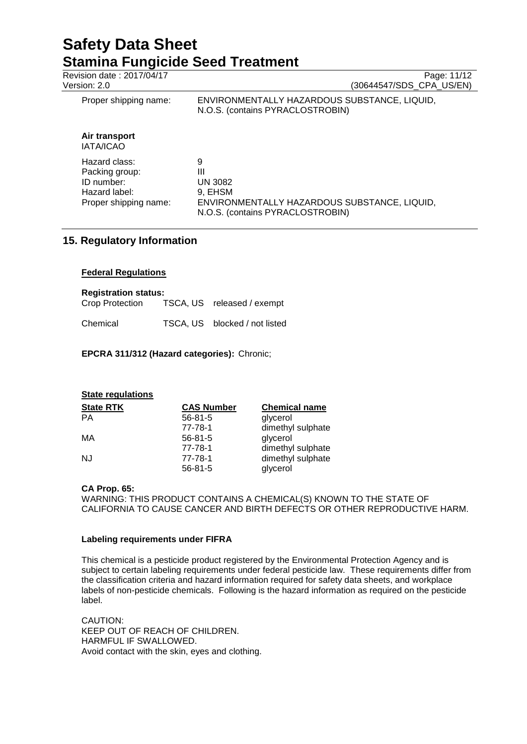Revision date : 2017/04/17 Page: 11/12<br>Version: 2.0 (30644547/SDS\_CPA\_US/EN) (30644547/SDS\_CPA\_US/EN) Proper shipping name: ENVIRONMENTALLY HAZARDOUS SUBSTANCE, LIQUID, N.O.S. (contains PYRACLOSTROBIN) **Air transport** IATA/ICAO Hazard class: 9<br>Packing group: 11 Packing group: III<br>
ID number: IN 3082 ID number: Hazard label: 9, EHSM<br>Proper shipping name: ENVIROI ENVIRONMENTALLY HAZARDOUS SUBSTANCE, LIQUID, N.O.S. (contains PYRACLOSTROBIN)

## **15. Regulatory Information**

## **Federal Regulations**

**Registration status:**<br>Crop Protection TSCA, US released / exempt Chemical TSCA, US blocked / not listed

## **EPCRA 311/312 (Hazard categories):** Chronic;

| <b>State regulations</b> |                   |                      |
|--------------------------|-------------------|----------------------|
| <b>State RTK</b>         | <b>CAS Number</b> | <b>Chemical name</b> |
| PА                       | $56 - 81 - 5$     | glycerol             |
|                          | 77-78-1           | dimethyl sulphate    |
| МA                       | $56 - 81 - 5$     | glycerol             |
|                          | 77-78-1           | dimethyl sulphate    |
| NJ                       | 77-78-1           | dimethyl sulphate    |
|                          | $56 - 81 - 5$     | glycerol             |

## **CA Prop. 65:**

WARNING: THIS PRODUCT CONTAINS A CHEMICAL(S) KNOWN TO THE STATE OF CALIFORNIA TO CAUSE CANCER AND BIRTH DEFECTS OR OTHER REPRODUCTIVE HARM.

## **Labeling requirements under FIFRA**

This chemical is a pesticide product registered by the Environmental Protection Agency and is subject to certain labeling requirements under federal pesticide law. These requirements differ from the classification criteria and hazard information required for safety data sheets, and workplace labels of non-pesticide chemicals. Following is the hazard information as required on the pesticide label.

CAUTION: KEEP OUT OF REACH OF CHILDREN. HARMFUL IF SWALLOWED. Avoid contact with the skin, eyes and clothing.